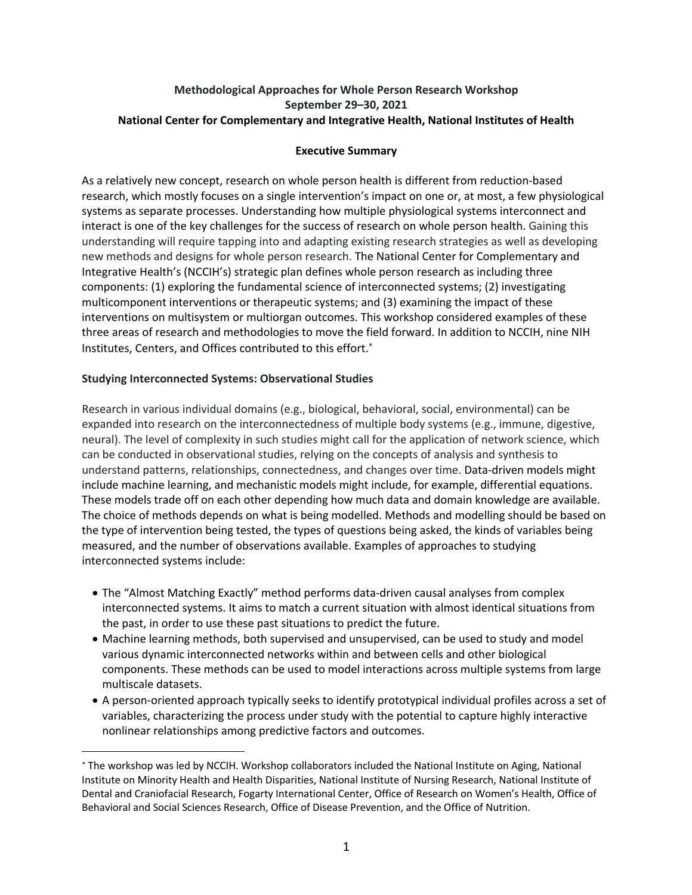## **Methodological Approaches for Whole Person Research Workshop National Center for Complementary and Integrative Health, National Institutes of Health September 29–30, 2021**

### **Executive Summary**

 As a relatively new concept, research on whole person health is different from reduction-based research, which mostly focuses on a single intervention's impact on one or, at most, a few physiological systems as separate processes. Understanding how multiple physiological systems interconnect and interact is one of the key challenges for the success of research on whole person health. Gaining this understanding will require tapping into and adapting existing research strategies as well as developing new methods and designs for whole person research. The National Center for Complementary and multicomponent interventions or therapeutic systems; and (3) examining the impact of these interventions on multisystem or multiorgan outcomes. This workshop considered examples of these three areas of research and methodologies to move the field forward. In addition to NCCIH, nine NIH Integrative Health's (NCCIH's) strategic plan defines whole person research as including three components: (1) exploring the fundamental science of interconnected systems; (2) investigating Institutes, Centers, and Offices contributed to this effort. \*

## **Studying Interconnected Systems: Observational Studies**

 Research in various individual domains (e.g., biological, behavioral, social, environmental) can be expanded into research on the interconnectedness of multiple body systems (e.g., immune, digestive, neural). The level of complexity in such studies might call for the application of network science, which can be conducted in observational studies, relying on the concepts of analysis and synthesis to These models trade off on each other depending how much data and domain knowledge are available. The choice of methods depends on what is being modelled. Methods and modelling should be based on the type of intervention being tested, the types of questions being asked, the kinds of variables being measured, and the number of observations available. Examples of approaches to studying understand patterns, relationships, connectedness, and changes over time. Data-driven models might include machine learning, and mechanistic models might include, for example, differential equations. interconnected systems include:

- • The "Almost Matching Exactly" method performs data-driven causal analyses from complex the past, in order to use these past situations to predict the future. interconnected systems. It aims to match a current situation with almost identical situations from
- • Machine learning methods, both supervised and unsupervised, can be used to study and model various dynamic interconnected networks within and between cells and other biological components. These methods can be used to model interactions across multiple systems from large multiscale datasets.
- • A person-oriented approach typically seeks to identify prototypical individual profiles across a set of variables, characterizing the process under study with the potential to capture highly interactive nonlinear relationships among predictive factors and outcomes.

 \* The workshop was led by NCCIH. Workshop collaborators included the National Institute on Aging, National Dental and Craniofacial Research, Fogarty International Center, Office of Research on Women's Health, Office of Behavioral and Social Sciences Research, Office of Disease Prevention, and the Office of Nutrition. Institute on Minority Health and Health Disparities, National Institute of Nursing Research, National Institute of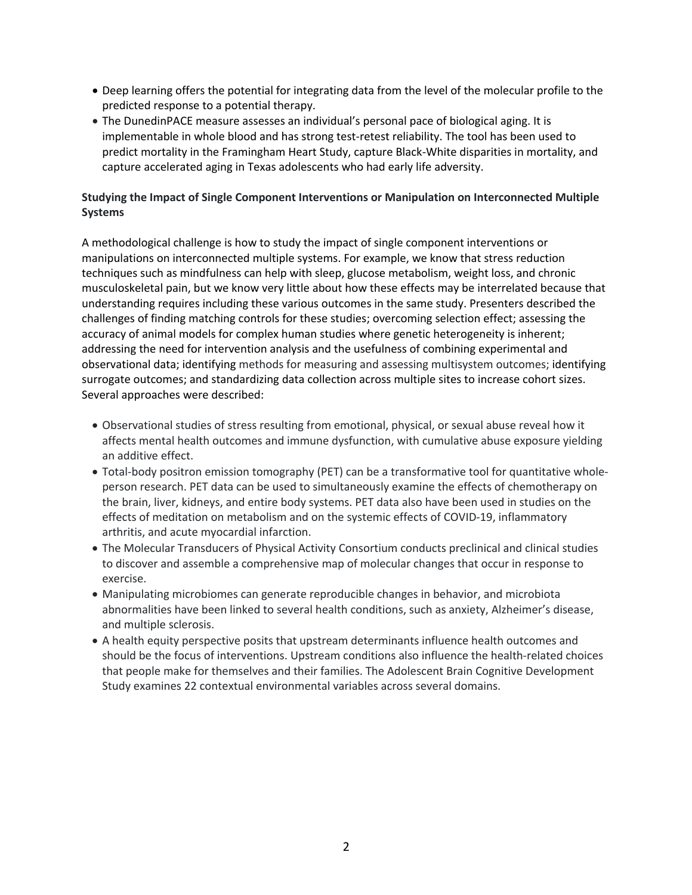- • Deep learning offers the potential for integrating data from the level of the molecular profile to the predicted response to a potential therapy.
- • The DunedinPACE measure assesses an individual's personal pace of biological aging. It is implementable in whole blood and has strong test-retest reliability. The tool has been used to predict mortality in the Framingham Heart Study, capture Black-White disparities in mortality, and capture accelerated aging in Texas adolescents who had early life adversity.

# **Studying the Impact of Single Component Interventions or Manipulation on Interconnected Multiple Systems**

 A methodological challenge is how to study the impact of single component interventions or manipulations on interconnected multiple systems. For example, we know that stress reduction musculoskeletal pain, but we know very little about how these effects may be interrelated because that understanding requires including these various outcomes in the same study. Presenters described the accuracy of animal models for complex human studies where genetic heterogeneity is inherent; addressing the need for intervention analysis and the usefulness of combining experimental and observational data; identifying methods for measuring and assessing multisystem outcomes; identifying techniques such as mindfulness can help with sleep, glucose metabolism, weight loss, and chronic challenges of finding matching controls for these studies; overcoming selection effect; assessing the surrogate outcomes; and standardizing data collection across multiple sites to increase cohort sizes. Several approaches were described:

- • Observational studies of stress resulting from emotional, physical, or sexual abuse reveal how it affects mental health outcomes and immune dysfunction, with cumulative abuse exposure yielding an additive effect.
- person research. PET data can be used to simultaneously examine the effects of chemotherapy on the brain, liver, kidneys, and entire body systems. PET data also have been used in studies on the effects of meditation on metabolism and on the systemic effects of COVID-19, inflammatory arthritis, and acute myocardial infarction. • Total-body positron emission tomography (PET) can be a transformative tool for quantitative whole-
- • The Molecular Transducers of Physical Activity Consortium conducts preclinical and clinical studies to discover and assemble a comprehensive map of molecular changes that occur in response to exercise.
- and multiple sclerosis. • Manipulating microbiomes can generate reproducible changes in behavior, and microbiota abnormalities have been linked to several health conditions, such as anxiety, Alzheimer's disease,
- • A health equity perspective posits that upstream determinants influence health outcomes and should be the focus of interventions. Upstream conditions also influence the health-related choices that people make for themselves and their families. The Adolescent Brain Cognitive Development Study examines 22 contextual environmental variables across several domains.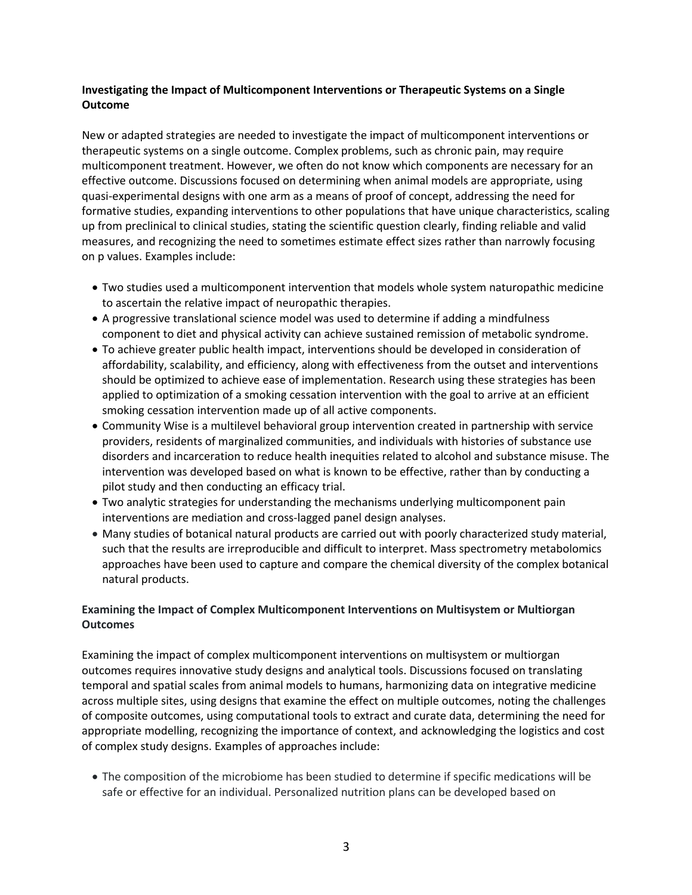# **Investigating the Impact of Multicomponent Interventions or Therapeutic Systems on a Single Outcome**

 New or adapted strategies are needed to investigate the impact of multicomponent interventions or therapeutic systems on a single outcome. Complex problems, such as chronic pain, may require multicomponent treatment. However, we often do not know which components are necessary for an effective outcome. Discussions focused on determining when animal models are appropriate, using quasi-experimental designs with one arm as a means of proof of concept, addressing the need for up from preclinical to clinical studies, stating the scientific question clearly, finding reliable and valid measures, and recognizing the need to sometimes estimate effect sizes rather than narrowly focusing formative studies, expanding interventions to other populations that have unique characteristics, scaling on p values. Examples include:

- • Two studies used a multicomponent intervention that models whole system naturopathic medicine to ascertain the relative impact of neuropathic therapies.
- • A progressive translational science model was used to determine if adding a mindfulness component to diet and physical activity can achieve sustained remission of metabolic syndrome.
- affordability, scalability, and efficiency, along with effectiveness from the outset and interventions should be optimized to achieve ease of implementation. Research using these strategies has been applied to optimization of a smoking cessation intervention with the goal to arrive at an efficient smoking cessation intervention made up of all active components. • To achieve greater public health impact, interventions should be developed in consideration of
- • Community Wise is a multilevel behavioral group intervention created in partnership with service disorders and incarceration to reduce health inequities related to alcohol and substance misuse. The providers, residents of marginalized communities, and individuals with histories of substance use intervention was developed based on what is known to be effective, rather than by conducting a pilot study and then conducting an efficacy trial.
- • Two analytic strategies for understanding the mechanisms underlying multicomponent pain interventions are mediation and cross-lagged panel design analyses.
- • Many studies of botanical natural products are carried out with poorly characterized study material, such that the results are irreproducible and difficult to interpret. Mass spectrometry metabolomics approaches have been used to capture and compare the chemical diversity of the complex botanical natural products.

# **Examining the Impact of Complex Multicomponent Interventions on Multisystem or Multiorgan Outcomes**

 outcomes requires innovative study designs and analytical tools. Discussions focused on translating temporal and spatial scales from animal models to humans, harmonizing data on integrative medicine across multiple sites, using designs that examine the effect on multiple outcomes, noting the challenges of composite outcomes, using computational tools to extract and curate data, determining the need for appropriate modelling, recognizing the importance of context, and acknowledging the logistics and cost of complex study designs. Examples of approaches include: Examining the impact of complex multicomponent interventions on multisystem or multiorgan

 • The composition of the microbiome has been studied to determine if specific medications will be safe or effective for an individual. Personalized nutrition plans can be developed based on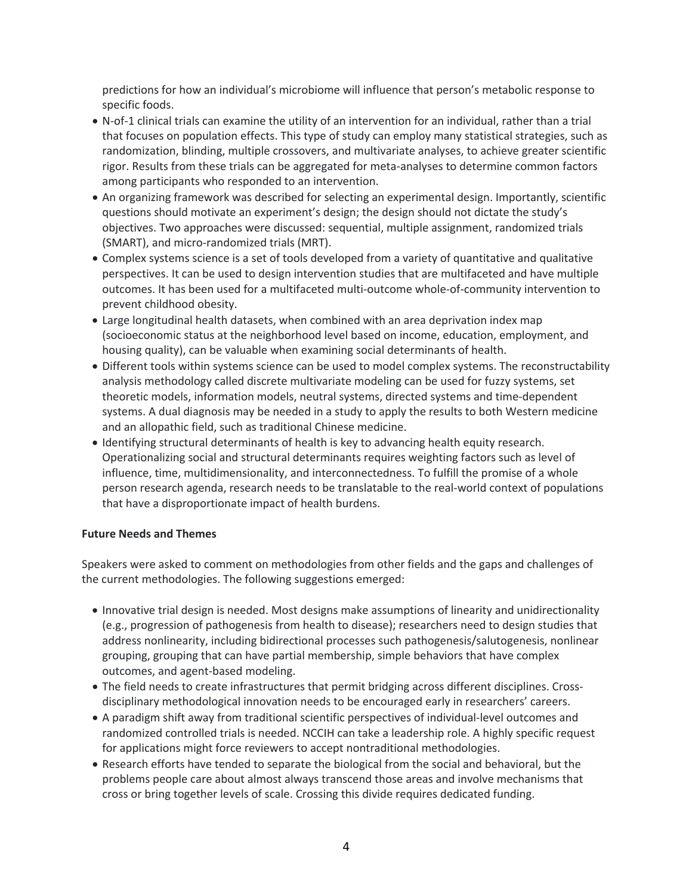predictions for how an individual's microbiome will influence that person's metabolic response to specific foods.

- • N-of-1 clinical trials can examine the utility of an intervention for an individual, rather than a trial that focuses on population effects. This type of study can employ many statistical strategies, such as rigor. Results from these trials can be aggregated for meta-analyses to determine common factors among participants who responded to an intervention. randomization, blinding, multiple crossovers, and multivariate analyses, to achieve greater scientific
- • An organizing framework was described for selecting an experimental design. Importantly, scientific questions should motivate an experiment's design; the design should not dictate the study's objectives. Two approaches were discussed: sequential, multiple assignment, randomized trials (SMART), and micro-randomized trials (MRT).
- • Complex systems science is a set of tools developed from a variety of quantitative and qualitative perspectives. It can be used to design intervention studies that are multifaceted and have multiple outcomes. It has been used for a multifaceted multi-outcome whole-of-community intervention to prevent childhood obesity.
- • Large longitudinal health datasets, when combined with an area deprivation index map housing quality), can be valuable when examining social determinants of health. (socioeconomic status at the neighborhood level based on income, education, employment, and
- analysis methodology called discrete multivariate modeling can be used for fuzzy systems, set systems. A dual diagnosis may be needed in a study to apply the results to both Western medicine and an allopathic field, such as traditional Chinese medicine. • Different tools within systems science can be used to model complex systems. The reconstructability theoretic models, information models, neutral systems, directed systems and time-dependent
- • Identifying structural determinants of health is key to advancing health equity research. Operationalizing social and structural determinants requires weighting factors such as level of influence, time, multidimensionality, and interconnectedness. To fulfill the promise of a whole person research agenda, research needs to be translatable to the real-world context of populations that have a disproportionate impact of health burdens.

### **Future Needs and Themes**

 Speakers were asked to comment on methodologies from other fields and the gaps and challenges of the current methodologies. The following suggestions emerged:

- grouping, grouping that can have partial membership, simple behaviors that have complex • Innovative trial design is needed. Most designs make assumptions of linearity and unidirectionality (e.g., progression of pathogenesis from health to disease); researchers need to design studies that address nonlinearity, including bidirectional processes such pathogenesis/salutogenesis, nonlinear outcomes, and agent-based modeling.
- disciplinary methodological innovation needs to be encouraged early in researchers' careers. • The field needs to create infrastructures that permit bridging across different disciplines. Cross-
- • A paradigm shift away from traditional scientific perspectives of individual-level outcomes and randomized controlled trials is needed. NCCIH can take a leadership role. A highly specific request for applications might force reviewers to accept nontraditional methodologies.
- • Research efforts have tended to separate the biological from the social and behavioral, but the problems people care about almost always transcend those areas and involve mechanisms that cross or bring together levels of scale. Crossing this divide requires dedicated funding.